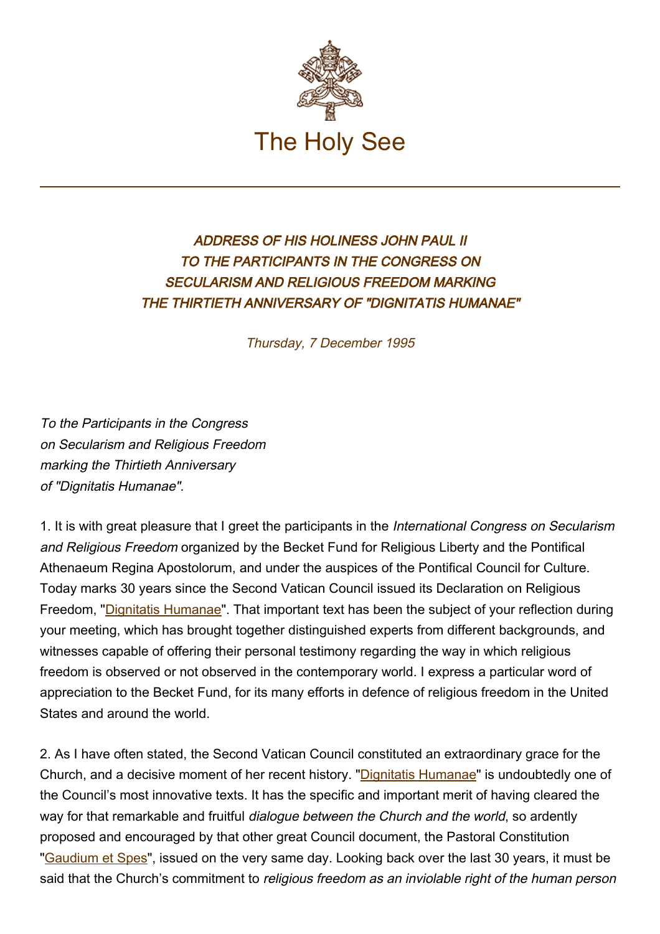

## ADDRESS OF HIS HOLINESS JOHN PAUL II TO THE PARTICIPANTS IN THE CONGRESS ON SECULARISM AND RELIGIOUS FREEDOM MARKING THE THIRTIETH ANNIVERSARY OF "DIGNITATIS HUMANAE"

Thursday, 7 December 1995

To the Participants in the Congress on Secularism and Religious Freedom marking the Thirtieth Anniversary of "Dignitatis Humanae".

1. It is with great pleasure that I greet the participants in the International Congress on Secularism and Religious Freedom organized by the Becket Fund for Religious Liberty and the Pontifical Athenaeum Regina Apostolorum, and under the auspices of the Pontifical Council for Culture. Today marks 30 years since the Second Vatican Council issued its Declaration on Religious Freedom, "[Dignitatis Humanae"](http://localhost/archive/hist_councils/ii_vatican_council/documents/vat-ii_decl_19651207_dignitatis-humanae_en.html). That important text has been the subject of your reflection during your meeting, which has brought together distinguished experts from different backgrounds, and witnesses capable of offering their personal testimony regarding the way in which religious freedom is observed or not observed in the contemporary world. I express a particular word of appreciation to the Becket Fund, for its many efforts in defence of religious freedom in the United States and around the world.

2. As I have often stated, the Second Vatican Council constituted an extraordinary grace for the Church, and a decisive moment of her recent history. "[Dignitatis Humanae"](http://localhost/archive/hist_councils/ii_vatican_council/documents/vat-ii_decl_19651207_dignitatis-humanae_en.html) is undoubtedly one of the Council's most innovative texts. It has the specific and important merit of having cleared the way for that remarkable and fruitful *dialogue between the Church and the world*, so ardently proposed and encouraged by that other great Council document, the Pastoral Constitution ["Gaudium et Spes"](http://localhost/archive/hist_councils/ii_vatican_council/documents/vat-ii_cons_19651207_gaudium-et-spes_en.html), issued on the very same day. Looking back over the last 30 years, it must be said that the Church's commitment to religious freedom as an inviolable right of the human person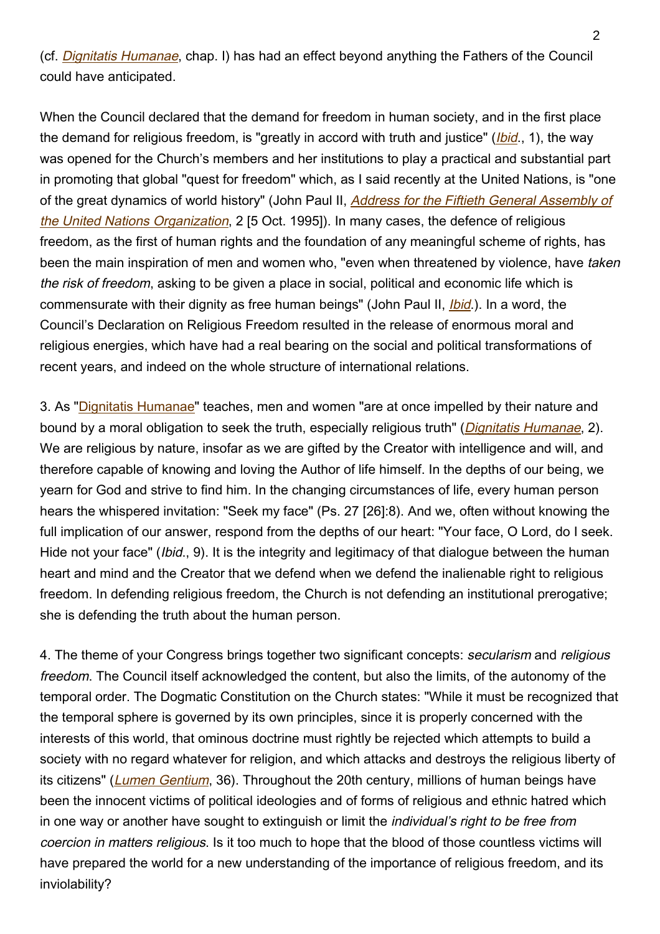(cf. [Dignitatis Humanae](http://localhost/archive/hist_councils/ii_vatican_council/documents/vat-ii_decl_19651207_dignitatis-humanae_en.html), chap. I) has had an effect beyond anything the Fathers of the Council could have anticipated.

When the Council declared that the demand for freedom in human society, and in the first place the demand for religious freedom, is "greatly in accord with truth and justice" (*[Ibid](http://localhost/archive/hist_councils/ii_vatican_council/documents/vat-ii_decl_19651207_dignitatis-humanae_en.html).*, 1), the way was opened for the Church's members and her institutions to play a practical and substantial part in promoting that global "quest for freedom" which, as I said recently at the United Nations, is "one of the great dynamics of world history" (John Paul II, [Address for the Fiftieth General Assembly of](https://www.vatican.va/content/john-paul-ii/en/speeches/1995/october/documents/hf_jp-ii_spe_05101995_address-to-uno.html) [the United Nations Organization](https://www.vatican.va/content/john-paul-ii/en/speeches/1995/october/documents/hf_jp-ii_spe_05101995_address-to-uno.html), 2 [5 Oct. 1995]). In many cases, the defence of religious freedom, as the first of human rights and the foundation of any meaningful scheme of rights, has been the main inspiration of men and women who, "even when threatened by violence, have taken the risk of freedom, asking to be given a place in social, political and economic life which is commensurate with their dignity as free human beings" (John Paul II, *[Ibid](https://www.vatican.va/content/john-paul-ii/en/speeches/1995/october/documents/hf_jp-ii_spe_05101995_address-to-uno.html).*). In a word, the Council's Declaration on Religious Freedom resulted in the release of enormous moral and religious energies, which have had a real bearing on the social and political transformations of recent years, and indeed on the whole structure of international relations.

3. As "[Dignitatis Humanae"](http://localhost/archive/hist_councils/ii_vatican_council/documents/vat-ii_decl_19651207_dignitatis-humanae_en.html) teaches, men and women "are at once impelled by their nature and bound by a moral obligation to seek the truth, especially religious truth" (*[Dignitatis Humanae](http://localhost/archive/hist_councils/ii_vatican_council/documents/vat-ii_decl_19651207_dignitatis-humanae_en.html)*, 2). We are religious by nature, insofar as we are gifted by the Creator with intelligence and will, and therefore capable of knowing and loving the Author of life himself. In the depths of our being, we yearn for God and strive to find him. In the changing circumstances of life, every human person hears the whispered invitation: "Seek my face" (Ps. 27 [26]:8). And we, often without knowing the full implication of our answer, respond from the depths of our heart: "Your face, O Lord, do I seek. Hide not your face" (*Ibid.*, 9). It is the integrity and legitimacy of that dialogue between the human heart and mind and the Creator that we defend when we defend the inalienable right to religious freedom. In defending religious freedom, the Church is not defending an institutional prerogative; she is defending the truth about the human person.

4. The theme of your Congress brings together two significant concepts: secularism and religious freedom. The Council itself acknowledged the content, but also the limits, of the autonomy of the temporal order. The Dogmatic Constitution on the Church states: "While it must be recognized that the temporal sphere is governed by its own principles, since it is properly concerned with the interests of this world, that ominous doctrine must rightly be rejected which attempts to build a society with no regard whatever for religion, and which attacks and destroys the religious liberty of its citizens" ([Lumen Gentium](http://localhost/archive/hist_councils/ii_vatican_council/documents/vat-ii_const_19641121_lumen-gentium_en.html), 36). Throughout the 20th century, millions of human beings have been the innocent victims of political ideologies and of forms of religious and ethnic hatred which in one way or another have sought to extinguish or limit the *individual's right to be free from* coercion in matters religious. Is it too much to hope that the blood of those countless victims will have prepared the world for a new understanding of the importance of religious freedom, and its inviolability?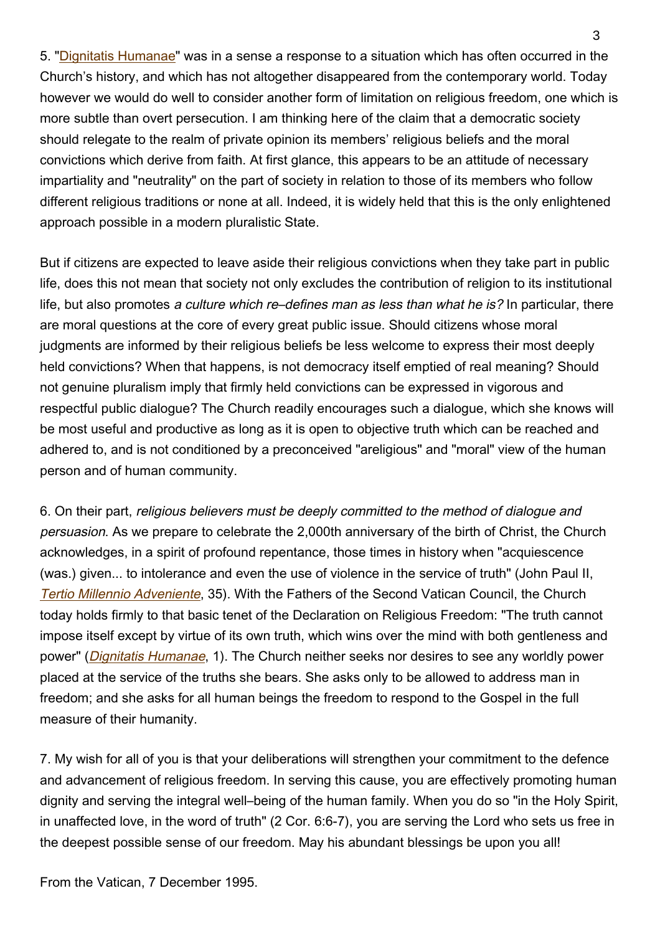5. "[Dignitatis Humanae](http://localhost/archive/hist_councils/ii_vatican_council/documents/vat-ii_decl_19651207_dignitatis-humanae_en.html)" was in a sense a response to a situation which has often occurred in the Church's history, and which has not altogether disappeared from the contemporary world. Today however we would do well to consider another form of limitation on religious freedom, one which is more subtle than overt persecution. I am thinking here of the claim that a democratic society should relegate to the realm of private opinion its members' religious beliefs and the moral convictions which derive from faith. At first glance, this appears to be an attitude of necessary impartiality and "neutrality" on the part of society in relation to those of its members who follow different religious traditions or none at all. Indeed, it is widely held that this is the only enlightened approach possible in a modern pluralistic State.

But if citizens are expected to leave aside their religious convictions when they take part in public life, does this not mean that society not only excludes the contribution of religion to its institutional life, but also promotes a culture which re-defines man as less than what he is? In particular, there are moral questions at the core of every great public issue. Should citizens whose moral judgments are informed by their religious beliefs be less welcome to express their most deeply held convictions? When that happens, is not democracy itself emptied of real meaning? Should not genuine pluralism imply that firmly held convictions can be expressed in vigorous and respectful public dialogue? The Church readily encourages such a dialogue, which she knows will be most useful and productive as long as it is open to objective truth which can be reached and adhered to, and is not conditioned by a preconceived "areligious" and "moral" view of the human person and of human community.

6. On their part, religious believers must be deeply committed to the method of dialogue and persuasion. As we prepare to celebrate the 2,000th anniversary of the birth of Christ, the Church acknowledges, in a spirit of profound repentance, those times in history when "acquiescence (was.) given... to intolerance and even the use of violence in the service of truth" (John Paul II, [Tertio Millennio Adveniente](https://www.vatican.va/content/john-paul-ii/en/apost_letters/documents/hf_jp-ii_apl_10111994_tertio-millennio-adveniente.html), 35). With the Fathers of the Second Vatican Council, the Church today holds firmly to that basic tenet of the Declaration on Religious Freedom: "The truth cannot impose itself except by virtue of its own truth, which wins over the mind with both gentleness and power" (*[Dignitatis Humanae](http://localhost/archive/hist_councils/ii_vatican_council/documents/vat-ii_decl_19651207_dignitatis-humanae_en.html)*, 1). The Church neither seeks nor desires to see any worldly power placed at the service of the truths she bears. She asks only to be allowed to address man in freedom; and she asks for all human beings the freedom to respond to the Gospel in the full measure of their humanity.

7. My wish for all of you is that your deliberations will strengthen your commitment to the defence and advancement of religious freedom. In serving this cause, you are effectively promoting human dignity and serving the integral well–being of the human family. When you do so "in the Holy Spirit, in unaffected love, in the word of truth" (2 Cor. 6:6-7), you are serving the Lord who sets us free in the deepest possible sense of our freedom. May his abundant blessings be upon you all!

From the Vatican, 7 December 1995.